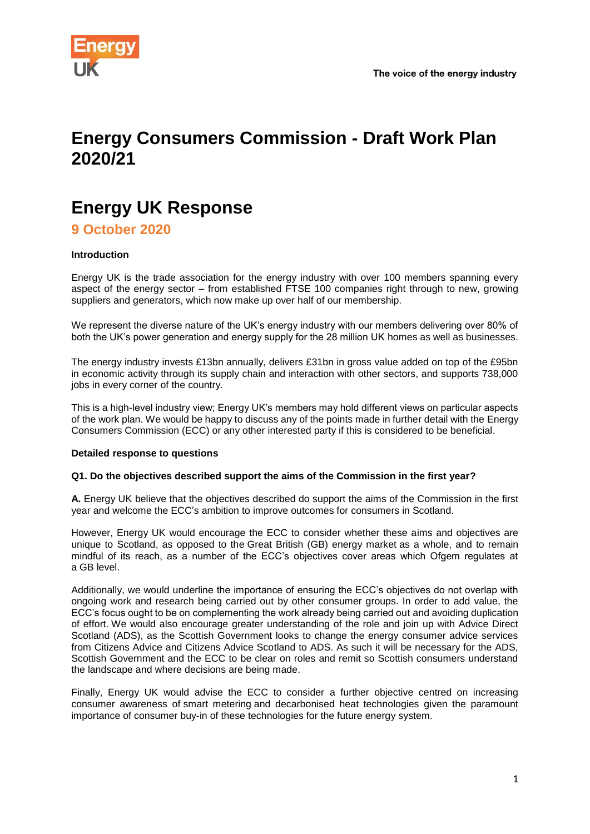

# **Energy Consumers Commission - Draft Work Plan 2020/21**

# **Energy UK Response**

**9 October 2020**

# **Introduction**

Energy UK is the trade association for the energy industry with over 100 members spanning every aspect of the energy sector – from established FTSE 100 companies right through to new, growing suppliers and generators, which now make up over half of our membership.

We represent the diverse nature of the UK's energy industry with our members delivering over 80% of both the UK's power generation and energy supply for the 28 million UK homes as well as businesses.

The energy industry invests £13bn annually, delivers £31bn in gross value added on top of the £95bn in economic activity through its supply chain and interaction with other sectors, and supports 738,000 jobs in every corner of the country.

This is a high-level industry view; Energy UK's members may hold different views on particular aspects of the work plan. We would be happy to discuss any of the points made in further detail with the Energy Consumers Commission (ECC) or any other interested party if this is considered to be beneficial.

#### **Detailed response to questions**

#### **Q1. Do the objectives described support the aims of the Commission in the first year?**

**A.** Energy UK believe that the objectives described do support the aims of the Commission in the first year and welcome the ECC's ambition to improve outcomes for consumers in Scotland.

However, Energy UK would encourage the ECC to consider whether these aims and objectives are unique to Scotland, as opposed to the Great British (GB) energy market as a whole, and to remain mindful of its reach, as a number of the ECC's objectives cover areas which Ofgem regulates at a GB level.

Additionally, we would underline the importance of ensuring the ECC's objectives do not overlap with ongoing work and research being carried out by other consumer groups. In order to add value, the ECC's focus ought to be on complementing the work already being carried out and avoiding duplication of effort. We would also encourage greater understanding of the role and join up with Advice Direct Scotland (ADS), as the Scottish Government looks to change the energy consumer advice services from Citizens Advice and Citizens Advice Scotland to ADS. As such it will be necessary for the ADS, Scottish Government and the ECC to be clear on roles and remit so Scottish consumers understand the landscape and where decisions are being made.

Finally, Energy UK would advise the ECC to consider a further objective centred on increasing consumer awareness of smart metering and decarbonised heat technologies given the paramount importance of consumer buy-in of these technologies for the future energy system.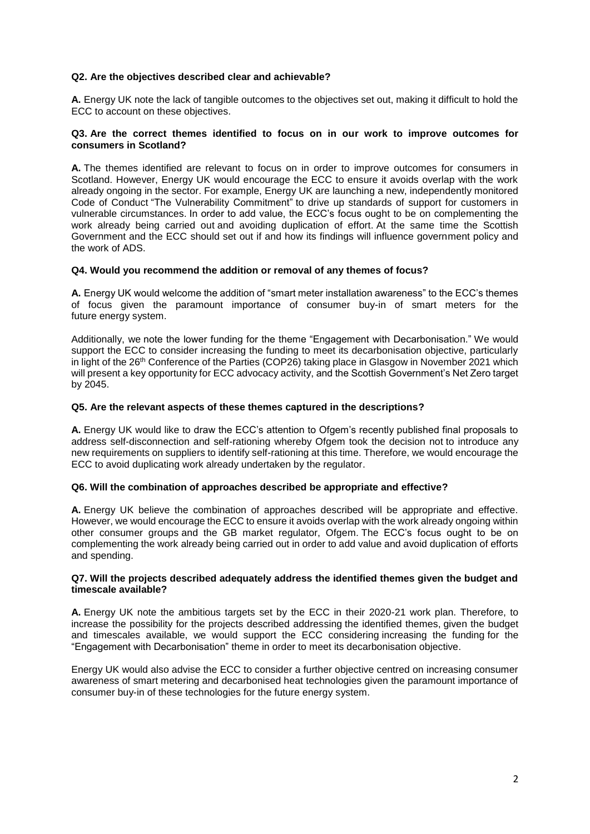## **Q2. Are the objectives described clear and achievable?**

**A.** Energy UK note the lack of tangible outcomes to the objectives set out, making it difficult to hold the ECC to account on these objectives.

#### **Q3. Are the correct themes identified to focus on in our work to improve outcomes for consumers in Scotland?**

**A.** The themes identified are relevant to focus on in order to improve outcomes for consumers in Scotland. However, Energy UK would encourage the ECC to ensure it avoids overlap with the work already ongoing in the sector. For example, Energy UK are launching a new, independently monitored Code of Conduct "The Vulnerability Commitment" to drive up standards of support for customers in vulnerable circumstances. In order to add value, the ECC's focus ought to be on complementing the work already being carried out and avoiding duplication of effort. At the same time the Scottish Government and the ECC should set out if and how its findings will influence government policy and the work of ADS.

#### **Q4. Would you recommend the addition or removal of any themes of focus?**

**A.** Energy UK would welcome the addition of "smart meter installation awareness" to the ECC's themes of focus given the paramount importance of consumer buy-in of smart meters for the future energy system.

Additionally, we note the lower funding for the theme "Engagement with Decarbonisation." We would support the ECC to consider increasing the funding to meet its decarbonisation objective, particularly in light of the 26<sup>th</sup> Conference of the Parties (COP26) taking place in Glasgow in November 2021 which will present a key opportunity for ECC advocacy activity, and the Scottish Government's Net Zero target by 2045.

## **Q5. Are the relevant aspects of these themes captured in the descriptions?**

**A.** Energy UK would like to draw the ECC's attention to Ofgem's recently published final proposals to address self-disconnection and self-rationing whereby Ofgem took the decision not to introduce any new requirements on suppliers to identify self-rationing at this time. Therefore, we would encourage the ECC to avoid duplicating work already undertaken by the regulator.

#### **Q6. Will the combination of approaches described be appropriate and effective?**

**A.** Energy UK believe the combination of approaches described will be appropriate and effective. However, we would encourage the ECC to ensure it avoids overlap with the work already ongoing within other consumer groups and the GB market regulator, Ofgem. The ECC's focus ought to be on complementing the work already being carried out in order to add value and avoid duplication of efforts and spending.

#### **Q7. Will the projects described adequately address the identified themes given the budget and timescale available?**

**A.** Energy UK note the ambitious targets set by the ECC in their 2020-21 work plan. Therefore, to increase the possibility for the projects described addressing the identified themes, given the budget and timescales available, we would support the ECC considering increasing the funding for the "Engagement with Decarbonisation" theme in order to meet its decarbonisation objective.

Energy UK would also advise the ECC to consider a further objective centred on increasing consumer awareness of smart metering and decarbonised heat technologies given the paramount importance of consumer buy-in of these technologies for the future energy system.